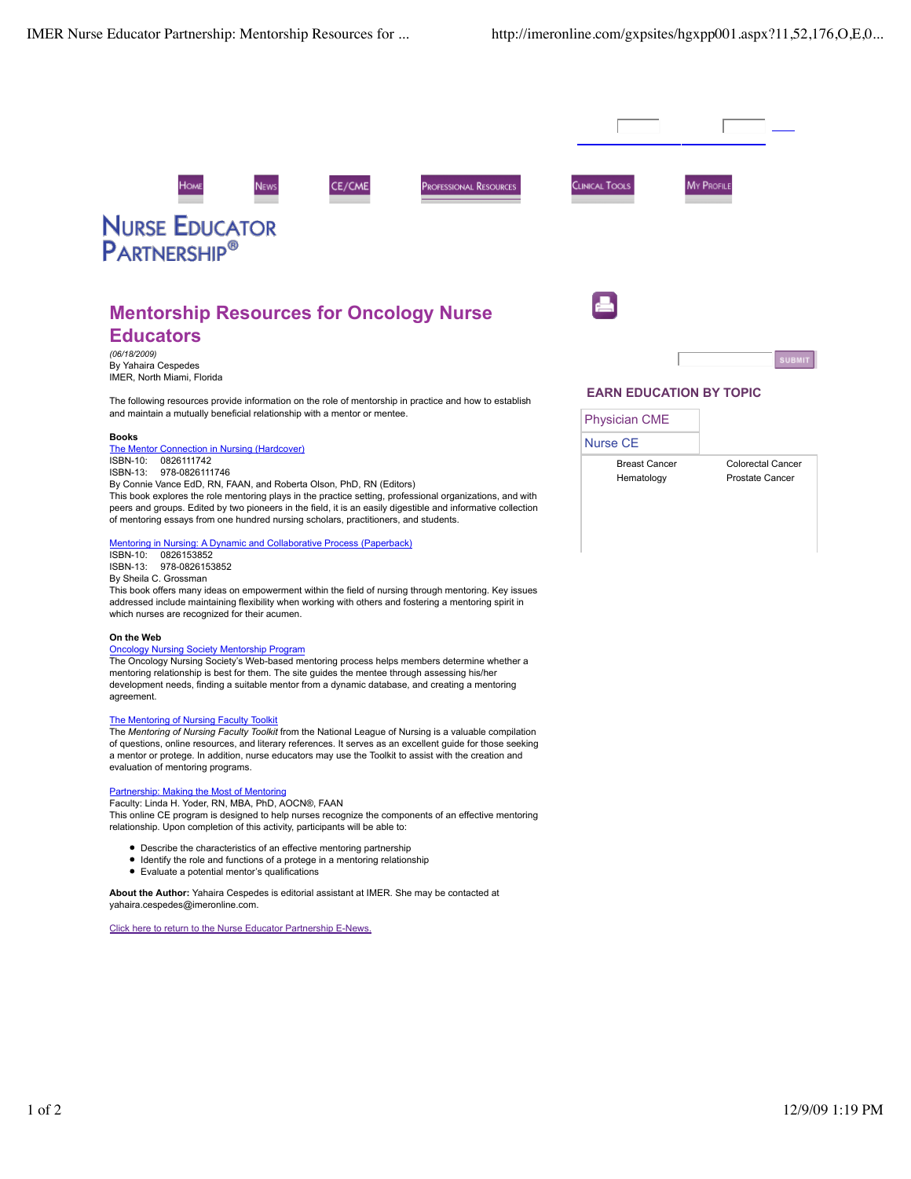